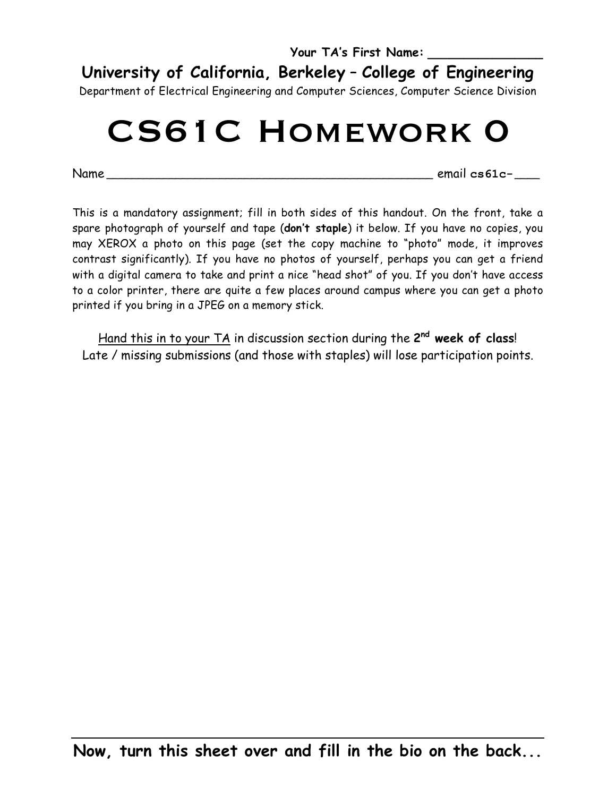**Your TA's First Name: \_\_\_\_\_\_\_\_\_\_\_\_\_\_\_\_ University of California, Berkeley** – **College of Engineering**

Department of Electrical Engineering and Computer Sciences, Computer Science Division

# CS61C Homework 0

Name \_\_\_\_\_\_\_\_\_\_\_\_\_\_\_\_\_\_\_\_\_\_\_\_\_\_\_\_\_\_\_\_\_\_\_\_\_\_\_\_\_\_\_\_\_\_\_\_\_\_\_\_ email **cs61c-**\_\_\_\_

This is a mandatory assignment; fill in both sides of this handout. On the front, take a spare photograph of yourself and tape (**don't staple**) it below. If you have no copies, you may XEROX a photo on this page (set the copy machine to "photo" mode, it improves contrast significantly). If you have no photos of yourself, perhaps you can get a friend with a digital camera to take and print a nice "head shot" of you. If you don't have access to a color printer, there are quite a few places around campus where you can get a photo printed if you bring in a JPEG on a memory stick.

Hand this in to your TA in discussion section during the **2nd week of class**! Late / missing submissions (and those with staples) will lose participation points.